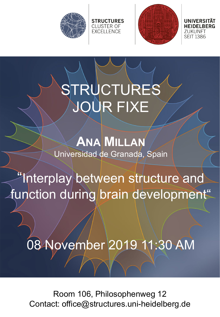



ZUKUNFT **SEIT 1386** 

## STRUCTURES JOUR FIXE

**STRUCTURES CLUSTER OF EXCELLENCE** 

**ANA MILLAN** Universidad de Granada, Spain

"Interplay between structure and function during brain development"

08 November 2019 11:30 AM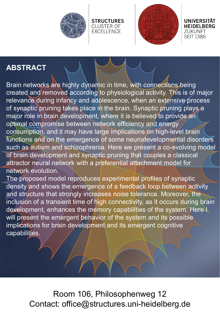



UNIVERSITÄT **HEIDELBERG** ZUKUNFT **SEIT 1386** 

#### **ABSTRACT**

Brain networks are highly dynamic in time, with connections being created and removed according to physiological activity. This is of major relevance during infancy and adolescence, when an extensive process of synaptic pruning takes place in the brain. Synaptic pruning plays a major role in brain development, where it is believed to provide an optimal compromise between network efficiency and energy consumption, and it may have large implications on high-level brain functions and on the emergence of some neurodevelopmental disorders such as autism and schizophrenia. Here we present a co-evolving model of brain development and synaptic pruning that couples a classical attractor neural network with a preferential attachment model for network evolution.

**STRUCTURES** 

**CLUSTER OF** 

**EXCELLENCE** 

The proposed model reproduces experimental profiles of synaptic density and shows the emergence of a feedback loop between activity and structure that strongly increases noise tolerance. Moreover, the inclusion of a transient time of high connectivity, as it occurs during brain development, enhances the memory capabilities of the system. Here I will present the emergent behavior of the system and its possible implications for brain development and its emergent cognitive capabilities.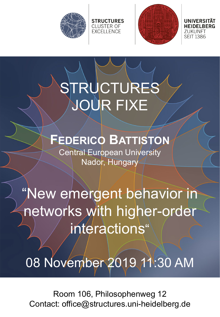



UNIVERSITAT ZUKUNFT **SEIT 1386** 

# STRUCTURES JOUR FIXE

**STRUCTURES** 

CLUSTER OF<br>EXCELLENCE

### **FEDERICO BATTISTON**

Central European University Nador, Hungary

"New emergent behavior in networks with higher-order interactions"

08 November 2019 11:30 AM